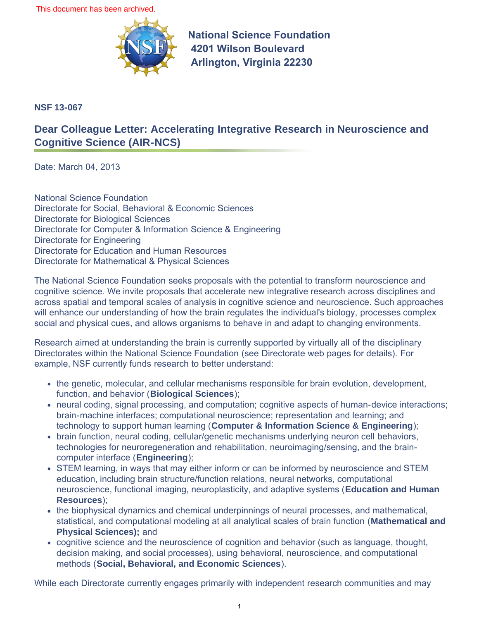This document has been archived.



**National Science Foundation 4201 Wilson Boulevard Arlington, Virginia 22230** 

**NSF 13-067**

## **Dear Colleague Letter: Accelerating Integrative Research in Neuroscience and Cognitive Science (AIR-NCS)**

Date: March 04, 2013

National Science Foundation Directorate for Social, Behavioral & Economic Sciences Directorate for Biological Sciences Directorate for Computer & Information Science & Engineering Directorate for Engineering Directorate for Education and Human Resources Directorate for Mathematical & Physical Sciences

The National Science Foundation seeks proposals with the potential to transform neuroscience and cognitive science. We invite proposals that accelerate new integrative research across disciplines and across spatial and temporal scales of analysis in cognitive science and neuroscience. Such approaches will enhance our understanding of how the brain regulates the individual's biology, processes complex social and physical cues, and allows organisms to behave in and adapt to changing environments.

Research aimed at understanding the brain is currently supported by virtually all of the disciplinary Directorates within the National Science Foundation (see Directorate web pages for details). For example, NSF currently funds research to better understand:

- the genetic, molecular, and cellular mechanisms responsible for brain evolution, development, function, and behavior (**Biological Sciences**);
- neural coding, signal processing, and computation; cognitive aspects of human-device interactions; brain-machine interfaces; computational neuroscience; representation and learning; and technology to support human learning (**Computer & Information Science & Engineering**);
- brain function, neural coding, cellular/genetic mechanisms underlying neuron cell behaviors, technologies for neuroregeneration and rehabilitation, neuroimaging/sensing, and the braincomputer interface (**Engineering**);
- STEM learning, in ways that may either inform or can be informed by neuroscience and STEM education, including brain structure/function relations, neural networks, computational neuroscience, functional imaging, neuroplasticity, and adaptive systems (**Education and Human Resources**);
- the biophysical dynamics and chemical underpinnings of neural processes, and mathematical, statistical, and computational modeling at all analytical scales of brain function (**Mathematical and Physical Sciences);** and
- cognitive science and the neuroscience of cognition and behavior (such as language, thought, decision making, and social processes), using behavioral, neuroscience, and computational methods (**Social, Behavioral, and Economic Sciences**).

While each Directorate currently engages primarily with independent research communities and may